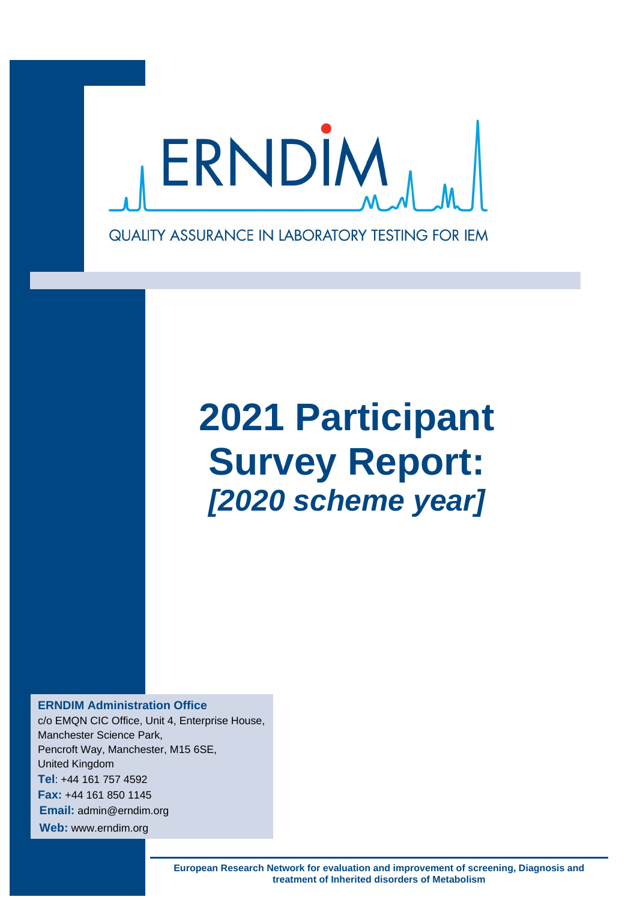

# **2021 Participant Survey Report:** *[2020 scheme year]*

**ERNDIM Administration Office** c/o EMQN CIC Office, Unit 4, Enterprise House, Manchester Science Park, Pencroft Way, Manchester, M15 6SE, United Kingdom **Tel**: +44 161 757 4592 **Fax:** +44 161 850 1145 **Email:** admin@erndim.org **Web:** www.erndim.org

> **European Research Network for evaluation and improvement of screening, Diagnosis and treatment of Inherited disorders of Metabolism**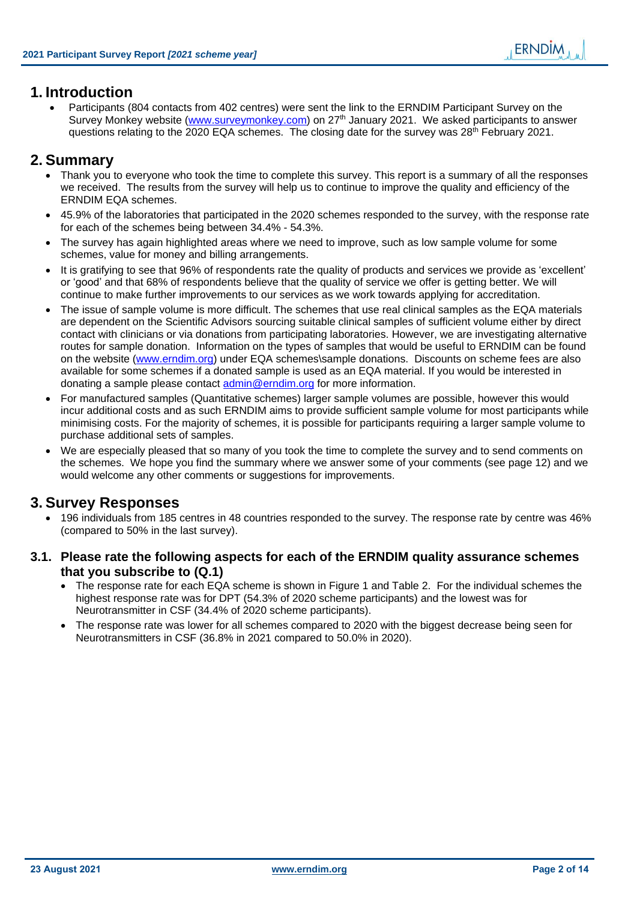# **1. Introduction**

• Participants (804 contacts from 402 centres) were sent the link to the ERNDIM Participant Survey on the Survey Monkey website [\(www.surveymonkey.com\)](http://www.surveymonkey.com/) on 27<sup>th</sup> January 2021. We asked participants to answer questions relating to the 2020 EQA schemes. The closing date for the survey was  $28<sup>th</sup>$  February 2021.

# **2. Summary**

- Thank you to everyone who took the time to complete this survey. This report is a summary of all the responses we received. The results from the survey will help us to continue to improve the quality and efficiency of the ERNDIM EQA schemes.
- 45.9% of the laboratories that participated in the 2020 schemes responded to the survey, with the response rate for each of the schemes being between 34.4% - 54.3%.
- The survey has again highlighted areas where we need to improve, such as low sample volume for some schemes, value for money and billing arrangements.
- It is gratifying to see that 96% of respondents rate the quality of products and services we provide as 'excellent' or 'good' and that 68% of respondents believe that the quality of service we offer is getting better. We will continue to make further improvements to our services as we work towards applying for accreditation.
- The issue of sample volume is more difficult. The schemes that use real clinical samples as the EQA materials are dependent on the Scientific Advisors sourcing suitable clinical samples of sufficient volume either by direct contact with clinicians or via donations from participating laboratories. However, we are investigating alternative routes for sample donation. Information on the types of samples that would be useful to ERNDIM can be found on the website [\(www.erndim.org\)](http://www.erndim.org/) under EQA schemes\sample donations. Discounts on scheme fees are also available for some schemes if a donated sample is used as an EQA material. If you would be interested in donating a sample please contact [admin@erndim.org](mailto:admin@erndim.org) for more information.
- For manufactured samples (Quantitative schemes) larger sample volumes are possible, however this would incur additional costs and as such ERNDIM aims to provide sufficient sample volume for most participants while minimising costs. For the majority of schemes, it is possible for participants requiring a larger sample volume to purchase additional sets of samples.
- We are especially pleased that so many of you took the time to complete the survey and to send comments on the schemes. We hope you find the summary where we answer some of your comments (see page [12\)](#page-11-0) and we would welcome any other comments or suggestions for improvements.

# **3. Survey Responses**

- 196 individuals from 185 centres in 48 countries responded to the survey. The response rate by centre was 46% (compared to 50% in the last survey).
- **3.1. Please rate the following aspects for each of the ERNDIM quality assurance schemes that you subscribe to (Q.1)**
	- The response rate for each EQA scheme is shown in Figure 1 and Table 2. For the individual schemes the highest response rate was for DPT (54.3% of 2020 scheme participants) and the lowest was for Neurotransmitter in CSF (34.4% of 2020 scheme participants).
	- The response rate was lower for all schemes compared to 2020 with the biggest decrease being seen for Neurotransmitters in CSF (36.8% in 2021 compared to 50.0% in 2020).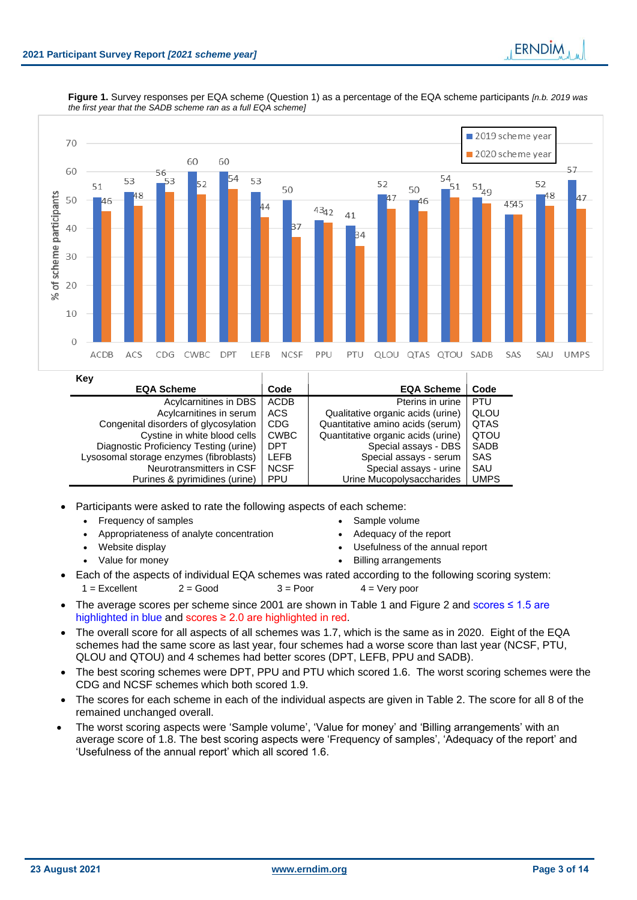

|  | Figure 1. Survey responses per EQA scheme (Question 1) as a percentage of the EQA scheme participants [n.b. 2019 was |  |  |  |  |  |  |
|--|----------------------------------------------------------------------------------------------------------------------|--|--|--|--|--|--|
|  | the first year that the SADB scheme ran as a full EQA scheme]                                                        |  |  |  |  |  |  |

| Key                                     |             |                                    |             |
|-----------------------------------------|-------------|------------------------------------|-------------|
| <b>EQA Scheme</b>                       | Code        | <b>EQA Scheme</b>                  | Code        |
| Acylcarnitines in DBS                   | <b>ACDB</b> | Pterins in urine                   | <b>PTU</b>  |
| Acylcarnitines in serum                 | ACS         | Qualitative organic acids (urine)  | QLOU        |
| Congenital disorders of glycosylation   | <b>CDG</b>  | Quantitative amino acids (serum)   | <b>QTAS</b> |
| Cystine in white blood cells            | <b>CWBC</b> | Quantitative organic acids (urine) | QTOU        |
| Diagnostic Proficiency Testing (urine)  | <b>DPT</b>  | Special assays - DBS               | <b>SADB</b> |
| Lysosomal storage enzymes (fibroblasts) | <b>LEFB</b> | Special assays - serum             | SAS         |
| Neurotransmitters in CSF                | <b>NCSF</b> | Special assays - urine             | SAU         |
| Purines & pyrimidines (urine)           | <b>PPU</b>  | Urine Mucopolysaccharides          | <b>UMPS</b> |

• Participants were asked to rate the following aspects of each scheme:

- Frequency of samples Sample volume
	- Appropriateness of analyte concentration Adequacy of the report
	-
	-
- 
- 
- Website display Usefulness of the annual report
- Value for money Billing arrangements
- 
- Each of the aspects of individual EQA schemes was rated according to the following scoring system:
	- $1 =$  Excellent 2 = Good  $3 =$  Poor  $4 =$  Very poor
- The average scores per scheme since 2001 are shown in Table 1 and Figure 2 and scores ≤ 1.5 are highlighted in blue and scores ≥ 2.0 are highlighted in red.
- The overall score for all aspects of all schemes was 1.7, which is the same as in 2020. Eight of the EQA schemes had the same score as last year, four schemes had a worse score than last year (NCSF, PTU, QLOU and QTOU) and 4 schemes had better scores (DPT, LEFB, PPU and SADB).
- The best scoring schemes were DPT, PPU and PTU which scored 1.6. The worst scoring schemes were the CDG and NCSF schemes which both scored 1.9.
- The scores for each scheme in each of the individual aspects are given in Table 2. The score for all 8 of the remained unchanged overall.
- The worst scoring aspects were 'Sample volume', 'Value for money' and 'Billing arrangements' with an average score of 1.8. The best scoring aspects were 'Frequency of samples', 'Adequacy of the report' and 'Usefulness of the annual report' which all scored 1.6.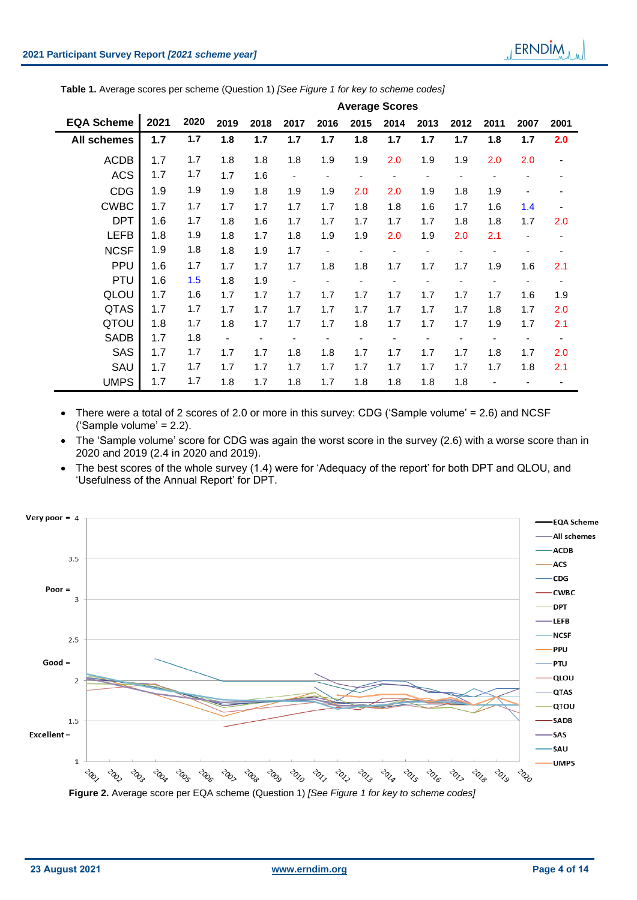| Table 1. Average scores per scheme (Question 1) [See Figure 1 for key to scheme codes] |  |  |  |
|----------------------------------------------------------------------------------------|--|--|--|
|                                                                                        |  |  |  |

|                   |       |      |      |      |                          |                          |      | <b>Average Scores</b>    |      |      |      |                              |      |
|-------------------|-------|------|------|------|--------------------------|--------------------------|------|--------------------------|------|------|------|------------------------------|------|
| <b>EQA Scheme</b> | 2021  | 2020 | 2019 | 2018 | 2017                     | 2016                     | 2015 | 2014                     | 2013 | 2012 | 2011 | 2007                         | 2001 |
| All schemes       | $1.7$ | 1.7  | 1.8  | 1.7  | 1.7                      | 1.7                      | 1.8  | 1.7                      | 1.7  | 1.7  | 1.8  | 1.7                          | 2.0  |
| <b>ACDB</b>       | 1.7   | 1.7  | 1.8  | 1.8  | 1.8                      | 1.9                      | 1.9  | 2.0                      | 1.9  | 1.9  | 2.0  | 2.0                          |      |
| <b>ACS</b>        | 1.7   | 1.7  | 1.7  | 1.6  | ۰                        |                          |      | $\overline{\phantom{a}}$ |      |      |      |                              |      |
| <b>CDG</b>        | 1.9   | 1.9  | 1.9  | 1.8  | 1.9                      | 1.9                      | 2.0  | 2.0                      | 1.9  | 1.8  | 1.9  |                              |      |
| <b>CWBC</b>       | 1.7   | 1.7  | 1.7  | 1.7  | 1.7                      | 1.7                      | 1.8  | 1.8                      | 1.6  | 1.7  | 1.6  | 1.4                          |      |
| <b>DPT</b>        | 1.6   | 1.7  | 1.8  | 1.6  | 1.7                      | 1.7                      | 1.7  | 1.7                      | 1.7  | 1.8  | 1.8  | 1.7                          | 2.0  |
| <b>LEFB</b>       | 1.8   | 1.9  | 1.8  | 1.7  | 1.8                      | 1.9                      | 1.9  | 2.0                      | 1.9  | 2.0  | 2.1  | $\qquad \qquad \blacksquare$ | ٠    |
| <b>NCSF</b>       | 1.9   | 1.8  | 1.8  | 1.9  | 1.7                      | $\overline{\phantom{a}}$ |      |                          |      |      |      |                              |      |
| <b>PPU</b>        | 1.6   | 1.7  | 1.7  | 1.7  | 1.7                      | 1.8                      | 1.8  | 1.7                      | 1.7  | 1.7  | 1.9  | 1.6                          | 2.1  |
| <b>PTU</b>        | 1.6   | 1.5  | 1.8  | 1.9  | $\overline{\phantom{a}}$ |                          |      |                          |      |      |      |                              |      |
| QLOU              | 1.7   | 1.6  | 1.7  | 1.7  | 1.7                      | 1.7                      | 1.7  | 1.7                      | 1.7  | 1.7  | 1.7  | 1.6                          | 1.9  |
| <b>QTAS</b>       | 1.7   | 1.7  | 1.7  | 1.7  | 1.7                      | 1.7                      | 1.7  | 1.7                      | 1.7  | 1.7  | 1.8  | 1.7                          | 2.0  |
| QTOU              | 1.8   | 1.7  | 1.8  | 1.7  | 1.7                      | 1.7                      | 1.8  | 1.7                      | 1.7  | 1.7  | 1.9  | 1.7                          | 2.1  |
| <b>SADB</b>       | 1.7   | 1.8  |      |      |                          |                          |      |                          |      |      |      |                              |      |
| <b>SAS</b>        | 1.7   | 1.7  | 1.7  | 1.7  | 1.8                      | 1.8                      | 1.7  | 1.7                      | 1.7  | 1.7  | 1.8  | 1.7                          | 2.0  |
| SAU               | 1.7   | 1.7  | 1.7  | 1.7  | 1.7                      | 1.7                      | 1.7  | 1.7                      | 1.7  | 1.7  | 1.7  | 1.8                          | 2.1  |
| <b>UMPS</b>       | 1.7   | 1.7  | 1.8  | 1.7  | 1.8                      | 1.7                      | 1.8  | 1.8                      | 1.8  | 1.8  |      |                              |      |

• There were a total of 2 scores of 2.0 or more in this survey: CDG ('Sample volume' = 2.6) and NCSF ('Sample volume' = 2.2).

- The 'Sample volume' score for CDG was again the worst score in the survey (2.6) with a worse score than in 2020 and 2019 (2.4 in 2020 and 2019).
- The best scores of the whole survey (1.4) were for 'Adequacy of the report' for both DPT and QLOU, and 'Usefulness of the Annual Report' for DPT.

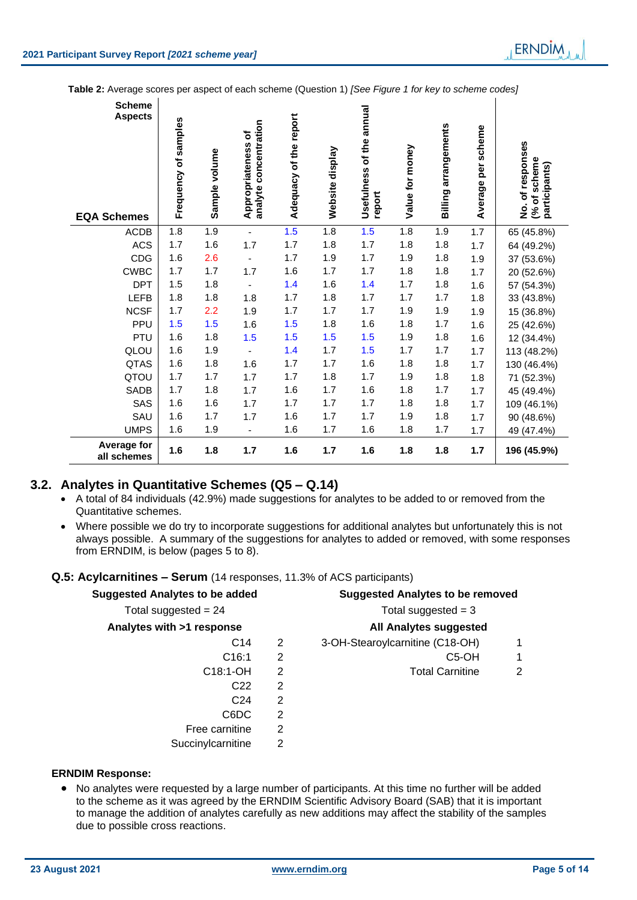**Table 2:** Average scores per aspect of each scheme (Question 1) *[See Figure 1 for key to scheme codes]*

| <b>Scheme</b><br><b>Aspects</b><br><b>EQA Schemes</b> | Frequency of samples | Sample volume | Appropriateness of<br>analyte concentration | Adequacy of the report | Website display | Usefulness of the annual<br>report | Value for money | <b>Billing arrangements</b> | Average per scheme | No. of responses<br>(% of scheme<br>participants) |
|-------------------------------------------------------|----------------------|---------------|---------------------------------------------|------------------------|-----------------|------------------------------------|-----------------|-----------------------------|--------------------|---------------------------------------------------|
| <b>ACDB</b>                                           | 1.8                  | 1.9           | $\blacksquare$                              | 1.5                    | 1.8             | 1.5                                | 1.8             | 1.9                         | 1.7                | 65 (45.8%)                                        |
| <b>ACS</b>                                            | 1.7                  | 1.6           | 1.7                                         | 1.7                    | 1.8             | 1.7                                | 1.8             | 1.8                         | 1.7                | 64 (49.2%)                                        |
| CDG                                                   | 1.6                  | 2.6           |                                             | 1.7                    | 1.9             | 1.7                                | 1.9             | 1.8                         | 1.9                | 37 (53.6%)                                        |
| <b>CWBC</b>                                           | 1.7                  | 1.7           | 1.7                                         | 1.6                    | 1.7             | 1.7                                | 1.8             | 1.8                         | 1.7                | 20 (52.6%)                                        |
| <b>DPT</b>                                            | 1.5                  | 1.8           |                                             | 1.4                    | 1.6             | 1.4                                | 1.7             | 1.8                         | 1.6                | 57 (54.3%)                                        |
| <b>LEFB</b>                                           | 1.8                  | 1.8           | 1.8                                         | 1.7                    | 1.8             | 1.7                                | 1.7             | 1.7                         | 1.8                | 33 (43.8%)                                        |
| <b>NCSF</b>                                           | 1.7                  | 2.2           | 1.9                                         | 1.7                    | 1.7             | 1.7                                | 1.9             | 1.9                         | 1.9                | 15 (36.8%)                                        |
| PPU                                                   | 1.5                  | 1.5           | 1.6                                         | 1.5                    | 1.8             | 1.6                                | 1.8             | 1.7                         | 1.6                | 25 (42.6%)                                        |
| PTU                                                   | 1.6                  | 1.8           | 1.5                                         | 1.5                    | 1.5             | 1.5                                | 1.9             | 1.8                         | 1.6                | 12 (34.4%)                                        |
| QLOU                                                  | 1.6                  | 1.9           |                                             | 1.4                    | 1.7             | 1.5                                | 1.7             | 1.7                         | 1.7                | 113 (48.2%)                                       |
| QTAS                                                  | 1.6                  | 1.8           | 1.6                                         | 1.7                    | 1.7             | 1.6                                | 1.8             | 1.8                         | 1.7                | 130 (46.4%)                                       |
| QTOU                                                  | 1.7                  | 1.7           | 1.7                                         | 1.7                    | 1.8             | 1.7                                | 1.9             | 1.8                         | 1.8                | 71 (52.3%)                                        |
| SADB                                                  | 1.7                  | 1.8           | 1.7                                         | 1.6                    | 1.7             | 1.6                                | 1.8             | 1.7                         | 1.7                | 45 (49.4%)                                        |
| SAS                                                   | 1.6                  | 1.6           | 1.7                                         | 1.7                    | 1.7             | 1.7                                | 1.8             | 1.8                         | 1.7                | 109 (46.1%)                                       |
| SAU                                                   | 1.6                  | 1.7           | 1.7                                         | 1.6                    | 1.7             | 1.7                                | 1.9             | 1.8                         | 1.7                | 90 (48.6%)                                        |
| <b>UMPS</b>                                           | 1.6                  | 1.9           | $\overline{\phantom{a}}$                    | 1.6                    | 1.7             | 1.6                                | 1.8             | 1.7                         | 1.7                | 49 (47.4%)                                        |
| <b>Average for</b><br>all schemes                     | 1.6                  | 1.8           | 1.7                                         | 1.6                    | 1.7             | 1.6                                | 1.8             | 1.8                         | 1.7                | 196 (45.9%)                                       |

# **3.2. Analytes in Quantitative Schemes (Q5 – Q.14)**

- A total of 84 individuals (42.9%) made suggestions for analytes to be added to or removed from the Quantitative schemes.
- Where possible we do try to incorporate suggestions for additional analytes but unfortunately this is not always possible. A summary of the suggestions for analytes to added or removed, with some responses from ERNDIM, is below (pages 5 to 8).

#### **Q.5: Acylcarnitines – Serum** (14 responses, 11.3% of ACS participants)

| <b>Suggested Analytes to be added</b> |   | <b>Suggested Analytes to be removed</b> |   |  |  |  |
|---------------------------------------|---|-----------------------------------------|---|--|--|--|
| Total suggested = $24$                |   | Total suggested $=$ 3                   |   |  |  |  |
| Analytes with >1 response             |   | <b>All Analytes suggested</b>           |   |  |  |  |
| C <sub>14</sub>                       | 2 | 3-OH-Stearoylcarnitine (C18-OH)         |   |  |  |  |
| C16:1                                 | 2 | C <sub>5</sub> -OH                      | 1 |  |  |  |
| $C18:1-OH$                            | 2 | <b>Total Carnitine</b>                  | 2 |  |  |  |
| C <sub>22</sub>                       | 2 |                                         |   |  |  |  |
| C <sub>24</sub>                       | 2 |                                         |   |  |  |  |
| C6DC                                  | 2 |                                         |   |  |  |  |
| Free carnitine                        | 2 |                                         |   |  |  |  |
| Succinylcarnitine                     | 2 |                                         |   |  |  |  |

#### **ERNDIM Response:**

• No analytes were requested by a large number of participants. At this time no further will be added to the scheme as it was agreed by the ERNDIM Scientific Advisory Board (SAB) that it is important to manage the addition of analytes carefully as new additions may affect the stability of the samples due to possible cross reactions.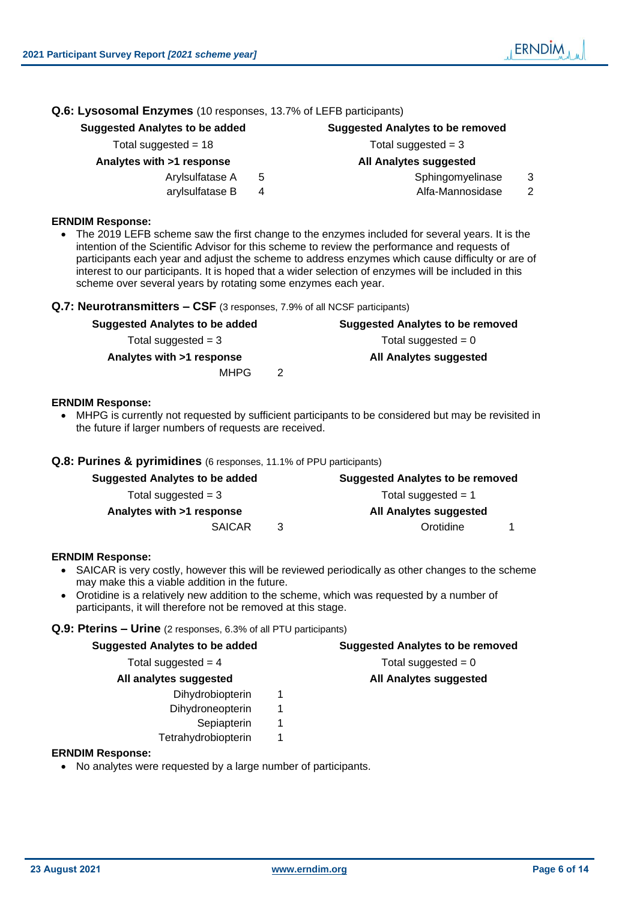# **Q.6: Lysosomal Enzymes** (10 responses, 13.7% of LEFB participants)

# **Suggested Analytes to be added Suggested Analytes to be removed**

Total suggested = 18 Total suggested = 3

# **Analytes with >1 response All Analytes suggested**

- 
- 

#### Arylsulfatase A 5 Sphingomyelinase 3

arylsulfatase B 4 Alfa-Mannosidase 2

#### **ERNDIM Response:**

• The 2019 LEFB scheme saw the first change to the enzymes included for several years. It is the intention of the Scientific Advisor for this scheme to review the performance and requests of participants each year and adjust the scheme to address enzymes which cause difficulty or are of interest to our participants. It is hoped that a wider selection of enzymes will be included in this scheme over several years by rotating some enzymes each year.

### **Q.7: Neurotransmitters – CSF** (3 responses, 7.9% of all NCSF participants)

# **Suggested Analytes to be added Suggested Analytes to be removed**  $Total suggested = 3$  Total suggested = 0 **Analytes with >1 response All Analytes suggested**

 $MHPG$  2

### **ERNDIM Response:**

• MHPG is currently not requested by sufficient participants to be considered but may be revisited in the future if larger numbers of requests are received.

### **Q.8: Purines & pyrimidines** (6 responses, 11.1% of PPU participants)

| Suggested Analytes to be added | <b>Suggested Analytes to be removed</b> |                        |  |  |  |  |
|--------------------------------|-----------------------------------------|------------------------|--|--|--|--|
| Total suggested $=$ 3          |                                         | Total suggested $= 1$  |  |  |  |  |
| Analytes with >1 response      |                                         | All Analytes suggested |  |  |  |  |
| <b>SAICAR</b>                  | 3                                       | Orotidine              |  |  |  |  |

#### **ERNDIM Response:**

- SAICAR is very costly, however this will be reviewed periodically as other changes to the scheme may make this a viable addition in the future.
- Orotidine is a relatively new addition to the scheme, which was requested by a number of participants, it will therefore not be removed at this stage.

#### **Q.9: Pterins – Urine** (2 responses, 6.3% of all PTU participants)

| <b>Suggested Analytes to be added</b> | <b>Suggested Analytes to be removed</b> |
|---------------------------------------|-----------------------------------------|
| Total suggested $=$ 4                 | Total suggested $= 0$                   |
| All analytes suggested                | <b>All Analytes suggested</b>           |
| Dihydrobiopterin                      |                                         |
| Dihydroneopterin                      |                                         |
| Sepiapterin                           |                                         |
| Tetrahydrobiopterin                   |                                         |

#### **ERNDIM Response:**

• No analytes were requested by a large number of participants.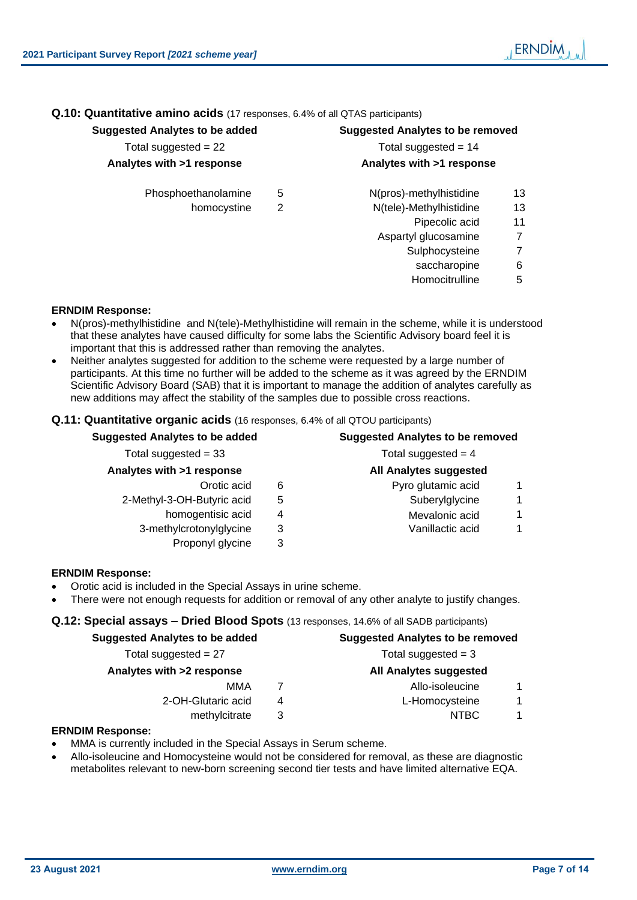**Q.10: Quantitative amino acids** (17 responses, 6.4% of all QTAS participants)

# **Suggested Analytes to be added Suggested Analytes to be removed**

| Total suggested = $22$    |  |  |  |  |  |  |
|---------------------------|--|--|--|--|--|--|
| Analytes with >1 response |  |  |  |  |  |  |

Phosphoethanolamine 5 N(pros)-methylhistidine 13

homocystine 2 N(tele)-Methylhistidine 13

| ggoolog Andrytoo to bo duucu | <b>OUGGOOD AND FOUND TO BE TUNNED</b> |  |  |  |  |
|------------------------------|---------------------------------------|--|--|--|--|
| Total suggested $= 22$       | Total suggested $= 14$                |  |  |  |  |
| Analytes with >1 response    | Analytes with >1 response             |  |  |  |  |
| <b>Dhocphoothonoloming</b>   | N/proc) mothylbiotiding               |  |  |  |  |

- -
	- Pipecolic acid 11
	- Aspartyl glucosamine 7
		- Sulphocysteine 7
			- saccharopine 6
		- Homocitrulline 5

#### **ERNDIM Response:**

- N(pros)-methylhistidine and N(tele)-Methylhistidine will remain in the scheme, while it is understood that these analytes have caused difficulty for some labs the Scientific Advisory board feel it is important that this is addressed rather than removing the analytes.
- Neither analytes suggested for addition to the scheme were requested by a large number of participants. At this time no further will be added to the scheme as it was agreed by the ERNDIM Scientific Advisory Board (SAB) that it is important to manage the addition of analytes carefully as new additions may affect the stability of the samples due to possible cross reactions.

### **Q.11: Quantitative organic acids** (16 responses, 6.4% of all QTOU participants)

| <b>Suggested Analytes to be added</b> | <b>Suggested Analytes to be removed</b><br>Total suggested $=$ 4 |                               |  |  |  |
|---------------------------------------|------------------------------------------------------------------|-------------------------------|--|--|--|
| Total suggested = $33$                |                                                                  |                               |  |  |  |
| Analytes with >1 response             |                                                                  | <b>All Analytes suggested</b> |  |  |  |
| Orotic acid                           | 6                                                                | Pyro glutamic acid<br>1       |  |  |  |
| 2-Methyl-3-OH-Butyric acid            | 5                                                                | Suberylglycine<br>1           |  |  |  |
| homogentisic acid                     | 4                                                                | Mevalonic acid<br>1           |  |  |  |
| 3-methylcrotonylglycine               | 3                                                                | Vanillactic acid              |  |  |  |
| Proponyl glycine                      | 3                                                                |                               |  |  |  |

### **ERNDIM Response:**

- Orotic acid is included in the Special Assays in urine scheme.
- There were not enough requests for addition or removal of any other analyte to justify changes.

#### **Q.12: Special assays – Dried Blood Spots** (13 responses, 14.6% of all SADB participants)

| <b>Suggested Analytes to be added</b> |                        |  |  |  |  |
|---------------------------------------|------------------------|--|--|--|--|
|                                       | Total suggested $=$ 3  |  |  |  |  |
|                                       | All Analytes suggested |  |  |  |  |
|                                       | Allo-isoleucine        |  |  |  |  |
| 4                                     | L-Homocysteine         |  |  |  |  |
| 3                                     | <b>NTBC</b>            |  |  |  |  |
|                                       |                        |  |  |  |  |

#### **ERNDIM Response:**

- MMA is currently included in the Special Assays in Serum scheme.
- Allo-isoleucine and Homocysteine would not be considered for removal, as these are diagnostic metabolites relevant to new-born screening second tier tests and have limited alternative EQA.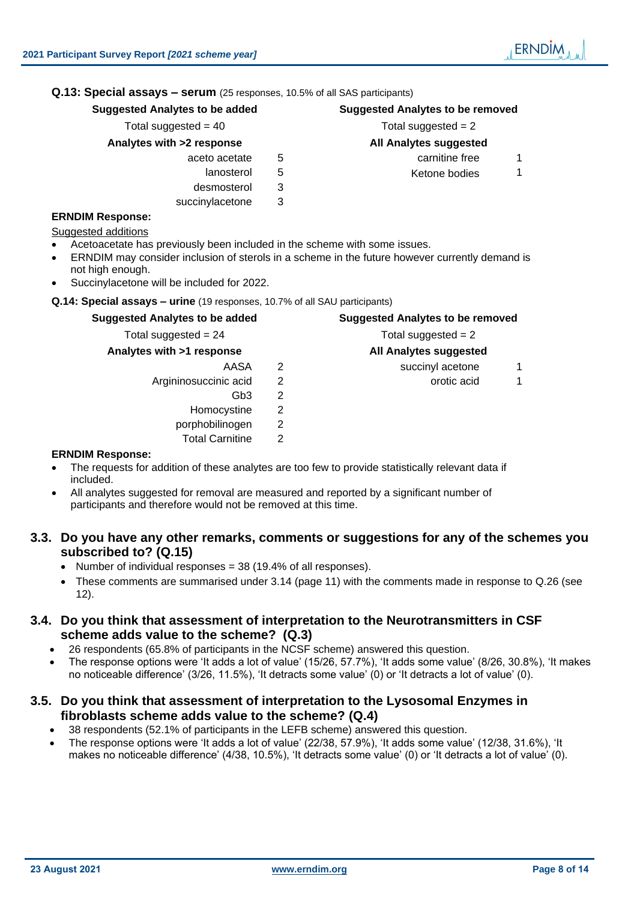# **Q.13: Special assays – serum** (25 responses, 10.5% of all SAS participants)

**Suggested Analytes to be added Suggested Analytes to be removed**

- **Analytes with >2 response All Analytes suggested**
	- aceto acetate  $\overline{5}$  carnitine free 1
		-
		- desmosterol 3
		- succinylacetone 3

# **ERNDIM Response:**

Suggested additions

- Acetoacetate has previously been included in the scheme with some issues.
- ERNDIM may consider inclusion of sterols in a scheme in the future however currently demand is not high enough.
- Succinylacetone will be included for 2022.

**Q.14: Special assays – urine** (19 responses, 10.7% of all SAU participants)

# **Suggested Analytes to be added Suggested Analytes to be removed**

Total suggested  $= 24$  Total suggested  $= 2$ 

# **Analytes with >1 response All Analytes suggested**

- Argininosuccinic acid 2 and 2 orotic acid 1
	- Gb3 2
	- Homocystine 2
	- porphobilinogen 2
		- Total Carnitine 2

# **ERNDIM Response:**

- The requests for addition of these analytes are too few to provide statistically relevant data if included.
- All analytes suggested for removal are measured and reported by a significant number of participants and therefore would not be removed at this time.

# **3.3. Do you have any other remarks, comments or suggestions for any of the schemes you subscribed to? (Q.15)**

- Number of individual responses = 38 (19.4% of all responses).
- These comments are summarised under [3.14](#page-10-0) (page [11\)](#page-10-0) with the comments made in response to Q.26 (see [12\)](#page-11-0).

# **3.4. Do you think that assessment of interpretation to the Neurotransmitters in CSF scheme adds value to the scheme? (Q.3)**

- 26 respondents (65.8% of participants in the NCSF scheme) answered this question.
- The response options were 'It adds a lot of value' (15/26, 57.7%), 'It adds some value' (8/26, 30.8%), 'It makes no noticeable difference' (3/26, 11.5%), 'It detracts some value' (0) or 'It detracts a lot of value' (0).

# **3.5. Do you think that assessment of interpretation to the Lysosomal Enzymes in fibroblasts scheme adds value to the scheme? (Q.4)**

- 38 respondents (52.1% of participants in the LEFB scheme) answered this question.
- The response options were 'It adds a lot of value' (22/38, 57.9%), 'It adds some value' (12/38, 31.6%), 'It makes no noticeable difference' (4/38, 10.5%), 'It detracts some value' (0) or 'It detracts a lot of value' (0).

AASA 2 succinyl acetone 1

Total suggested  $= 40$  Total suggested  $= 2$ 

lanosterol 5 Ketone bodies 1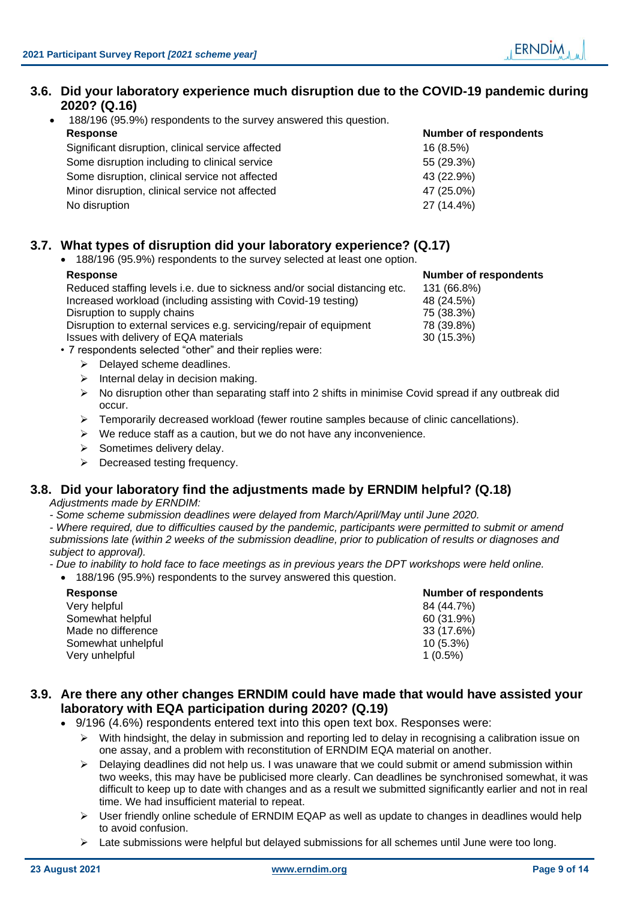# **3.6. Did your laboratory experience much disruption due to the COVID-19 pandemic during 2020? (Q.16)**

• 188/196 (95.9%) respondents to the survey answered this question. **Response Number of respondents**

| Significant disruption, clinical service affected | 16(8.5%)   |
|---------------------------------------------------|------------|
| Some disruption including to clinical service     | 55 (29.3%) |
| Some disruption, clinical service not affected    | 43 (22.9%) |
| Minor disruption, clinical service not affected   | 47 (25.0%) |
| No disruption                                     | 27 (14.4%) |

# **3.7. What types of disruption did your laboratory experience? (Q.17)**

• 188/196 (95.9%) respondents to the survey selected at least one option.

#### **Response Number of respondents**

Reduced staffing levels i.e. due to sickness and/or social distancing etc. 131 (66.8%) Increased workload (including assisting with Covid-19 testing) 48 (24.5%) Disruption to supply chains **75** (38.3%) Disruption to external services e.g. servicing/repair of equipment 78 (39.8%) Issues with delivery of EQA materials 30 (15.3%)

- 7 respondents selected "other" and their replies were:
	- ➢ Delayed scheme deadlines.
	- $\triangleright$  Internal delay in decision making.
	- $\triangleright$  No disruption other than separating staff into 2 shifts in minimise Covid spread if any outbreak did occur.
	- $\triangleright$  Temporarily decreased workload (fewer routine samples because of clinic cancellations).
	- $\triangleright$  We reduce staff as a caution, but we do not have any inconvenience.
	- ➢ Sometimes delivery delay.
	- ➢ Decreased testing frequency.

# **3.8. Did your laboratory find the adjustments made by ERNDIM helpful? (Q.18)**

*Adjustments made by ERNDIM:* 

*- Some scheme submission deadlines were delayed from March/April/May until June 2020.*

*- Where required, due to difficulties caused by the pandemic, participants were permitted to submit or amend submissions late (within 2 weeks of the submission deadline, prior to publication of results or diagnoses and subject to approval).*

*- Due to inability to hold face to face meetings as in previous years the DPT workshops were held online.*

# • 188/196 (95.9%) respondents to the survey answered this question.

| <b>Response</b>    | <b>Number of respondents</b> |
|--------------------|------------------------------|
| Verv helpful       | 84 (44.7%)                   |
| Somewhat helpful   | 60 (31.9%)                   |
| Made no difference | 33 (17.6%)                   |
| Somewhat unhelpful | $10(5.3\%)$                  |
| Very unhelpful     | $1(0.5\%)$                   |

# **3.9. Are there any other changes ERNDIM could have made that would have assisted your laboratory with EQA participation during 2020? (Q.19)**

- 9/196 (4.6%) respondents entered text into this open text box. Responses were:
	- $\triangleright$  With hindsight, the delay in submission and reporting led to delay in recognising a calibration issue on one assay, and a problem with reconstitution of ERNDIM EQA material on another.
	- $\triangleright$  Delaying deadlines did not help us. I was unaware that we could submit or amend submission within two weeks, this may have be publicised more clearly. Can deadlines be synchronised somewhat, it was difficult to keep up to date with changes and as a result we submitted significantly earlier and not in real time. We had insufficient material to repeat.
	- $\triangleright$  User friendly online schedule of ERNDIM EQAP as well as update to changes in deadlines would help to avoid confusion.
	- $\triangleright$  Late submissions were helpful but delayed submissions for all schemes until June were too long.

**ERNDIM**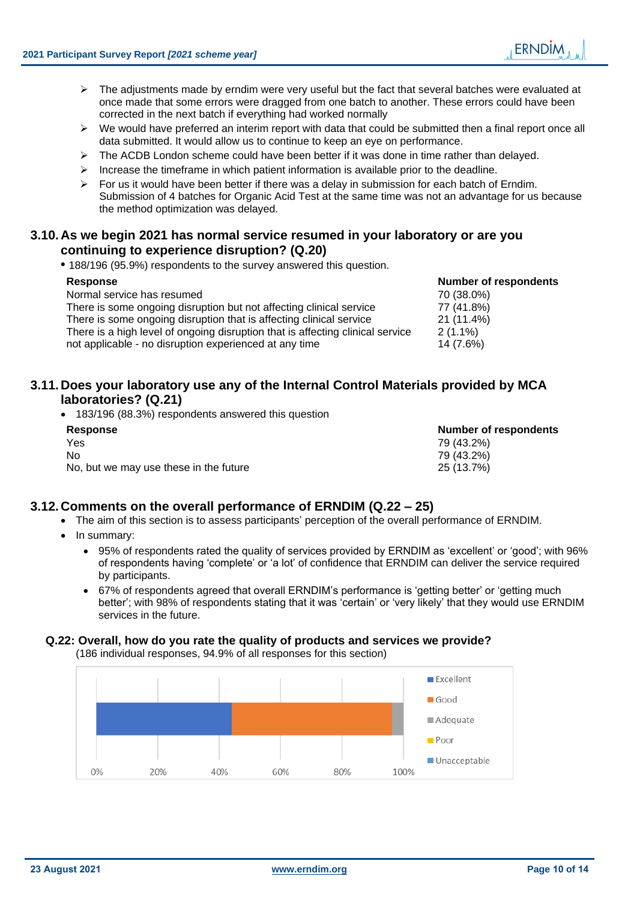- $\triangleright$  The adjustments made by erndim were very useful but the fact that several batches were evaluated at once made that some errors were dragged from one batch to another. These errors could have been corrected in the next batch if everything had worked normally
- $\triangleright$  We would have preferred an interim report with data that could be submitted then a final report once all data submitted. It would allow us to continue to keep an eye on performance.
- $\triangleright$  The ACDB London scheme could have been better if it was done in time rather than delayed.
- $\triangleright$  Increase the timeframe in which patient information is available prior to the deadline.
- $\triangleright$  For us it would have been better if there was a delay in submission for each batch of Erndim. Submission of 4 batches for Organic Acid Test at the same time was not an advantage for us because the method optimization was delayed.

# **3.10.As we begin 2021 has normal service resumed in your laboratory or are you continuing to experience disruption? (Q.20)**

**•** 188/196 (95.9%) respondents to the survey answered this question.

| <b>Response</b>                                                                | <b>Number of respondents</b> |
|--------------------------------------------------------------------------------|------------------------------|
| Normal service has resumed                                                     | 70 (38.0%)                   |
| There is some ongoing disruption but not affecting clinical service            | 77 (41.8%)                   |
| There is some ongoing disruption that is affecting clinical service            | 21 (11.4%)                   |
| There is a high level of ongoing disruption that is affecting clinical service | $2(1.1\%)$                   |
| not applicable - no disruption experienced at any time                         | 14 (7.6%)                    |

# **3.11.Does your laboratory use any of the Internal Control Materials provided by MCA laboratories? (Q.21)**

• 183/196 (88.3%) respondents answered this question

| <b>Response</b>                        | <b>Number of respondents</b> |
|----------------------------------------|------------------------------|
| Yes                                    | 79 (43.2%)                   |
| No.                                    | 79 (43.2%)                   |
| No, but we may use these in the future | 25 (13.7%)                   |

# **3.12.Comments on the overall performance of ERNDIM (Q.22 – 25)**

- The aim of this section is to assess participants' perception of the overall performance of ERNDIM.
	- In summary:
		- 95% of respondents rated the quality of services provided by ERNDIM as 'excellent' or 'good'; with 96% of respondents having 'complete' or 'a lot' of confidence that ERNDIM can deliver the service required by participants.
		- 67% of respondents agreed that overall ERNDIM's performance is 'getting better' or 'getting much better'; with 98% of respondents stating that it was 'certain' or 'very likely' that they would use ERNDIM services in the future.

### **Q.22: Overall, how do you rate the quality of products and services we provide?**

(186 individual responses, 94.9% of all responses for this section)

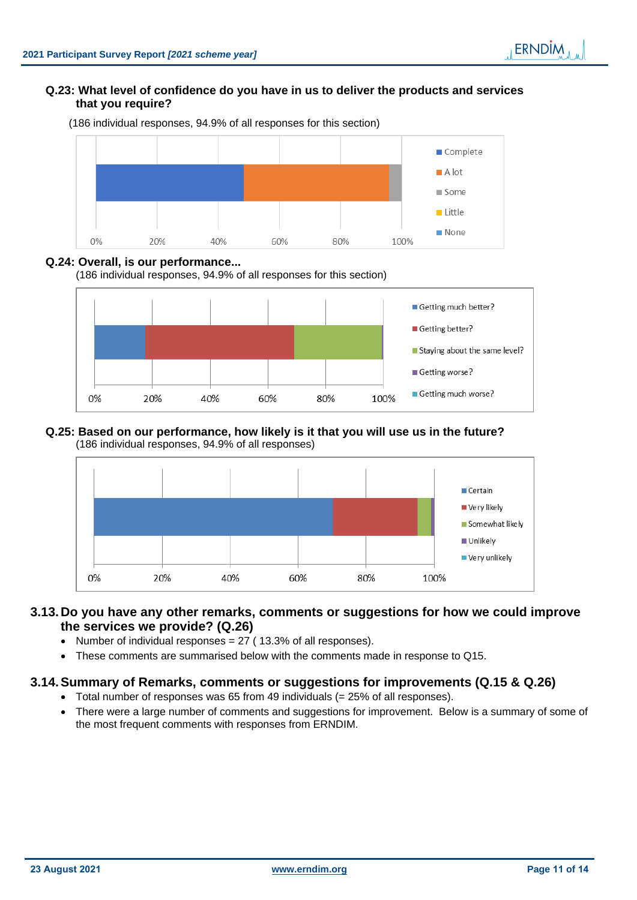### **Q.23: What level of confidence do you have in us to deliver the products and services that you require?**



(186 individual responses, 94.9% of all responses for this section)

### **Q.24: Overall, is our performance...**

(186 individual responses, 94.9% of all responses for this section)



#### **Q.25: Based on our performance, how likely is it that you will use us in the future?**  (186 individual responses, 94.9% of all responses)



# **3.13.Do you have any other remarks, comments or suggestions for how we could improve the services we provide? (Q.26)**

- Number of individual responses  $= 27$  (13.3% of all responses).
- These comments are summarised below with the comments made in response to Q15.

# <span id="page-10-0"></span>**3.14.Summary of Remarks, comments or suggestions for improvements (Q.15 & Q.26)**

- Total number of responses was 65 from 49 individuals  $(= 25\%$  of all responses).
- There were a large number of comments and suggestions for improvement. Below is a summary of some of the most frequent comments with responses from ERNDIM.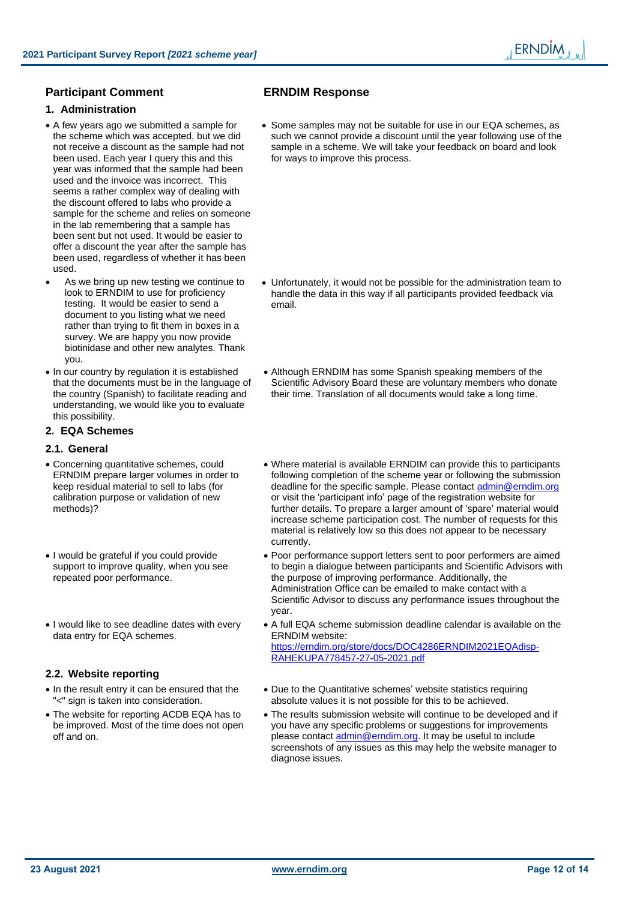### **Participant Comment ERNDIM Response**

#### <span id="page-11-0"></span>**1. Administration**

- A few years ago we submitted a sample for the scheme which was accepted, but we did not receive a discount as the sample had not been used. Each year I query this and this year was informed that the sample had been used and the invoice was incorrect. This seems a rather complex way of dealing with the discount offered to labs who provide a sample for the scheme and relies on someone in the lab remembering that a sample has been sent but not used. It would be easier to offer a discount the year after the sample has been used, regardless of whether it has been used.
- As we bring up new testing we continue to look to ERNDIM to use for proficiency testing. It would be easier to send a document to you listing what we need rather than trying to fit them in boxes in a survey. We are happy you now provide biotinidase and other new analytes. Thank you.
- In our country by regulation it is established that the documents must be in the language of the country (Spanish) to facilitate reading and understanding, we would like you to evaluate this possibility.

#### **2. EQA Schemes**

#### **2.1. General**

- Concerning quantitative schemes, could ERNDIM prepare larger volumes in order to keep residual material to sell to labs (for calibration purpose or validation of new methods)?
- I would be grateful if you could provide support to improve quality, when you see repeated poor performance.
- I would like to see deadline dates with every data entry for EQA schemes.

#### **2.2. Website reporting**

- In the result entry it can be ensured that the "<" sign is taken into consideration.
- The website for reporting ACDB EQA has to be improved. Most of the time does not open off and on.

• Some samples may not be suitable for use in our EQA schemes, as such we cannot provide a discount until the year following use of the sample in a scheme. We will take your feedback on board and look for ways to improve this process.

- Unfortunately, it would not be possible for the administration team to handle the data in this way if all participants provided feedback via email.
- Although ERNDIM has some Spanish speaking members of the Scientific Advisory Board these are voluntary members who donate their time. Translation of all documents would take a long time.
- Where material is available ERNDIM can provide this to participants following completion of the scheme year or following the submission deadline for the specific sample. Please contact [admin@erndim.org](mailto:admin@erndim.org) or visit the 'participant info' page of the registration website for further details. To prepare a larger amount of 'spare' material would increase scheme participation cost. The number of requests for this material is relatively low so this does not appear to be necessary currently.
- Poor performance support letters sent to poor performers are aimed to begin a dialogue between participants and Scientific Advisors with the purpose of improving performance. Additionally, the Administration Office can be emailed to make contact with a Scientific Advisor to discuss any performance issues throughout the year.
- A full EQA scheme submission deadline calendar is available on the ERNDIM website: [https://erndim.org/store/docs/DOC4286ERNDIM2021EQAdisp-](https://erndim.org/store/docs/DOC4286ERNDIM2021EQAdisp-RAHEKUPA778457-27-05-2021.pdf)[RAHEKUPA778457-27-05-2021.pdf](https://erndim.org/store/docs/DOC4286ERNDIM2021EQAdisp-RAHEKUPA778457-27-05-2021.pdf)
- Due to the Quantitative schemes' website statistics requiring absolute values it is not possible for this to be achieved.
- The results submission website will continue to be developed and if you have any specific problems or suggestions for improvements please contact [admin@erndim.org.](mailto:admin@erndim.org) It may be useful to include screenshots of any issues as this may help the website manager to diagnose issues.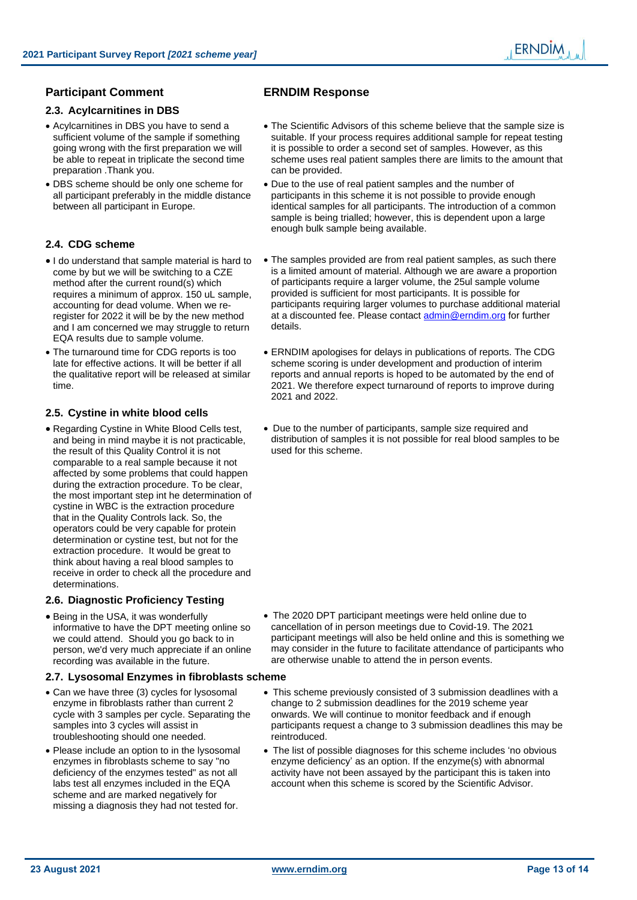### **Participant Comment ERNDIM Response**

#### **2.3. Acylcarnitines in DBS**

- Acylcarnitines in DBS you have to send a sufficient volume of the sample if something going wrong with the first preparation we will be able to repeat in triplicate the second time preparation .Thank you.
- DBS scheme should be only one scheme for all participant preferably in the middle distance between all participant in Europe.

#### **2.4. CDG scheme**

- I do understand that sample material is hard to come by but we will be switching to a CZE method after the current round(s) which requires a minimum of approx. 150 uL sample, accounting for dead volume. When we reregister for 2022 it will be by the new method and I am concerned we may struggle to return EQA results due to sample volume.
- The turnaround time for CDG reports is too late for effective actions. It will be better if all the qualitative report will be released at similar time.

#### **2.5. Cystine in white blood cells**

• Regarding Cystine in White Blood Cells test, and being in mind maybe it is not practicable, the result of this Quality Control it is not comparable to a real sample because it not affected by some problems that could happen during the extraction procedure. To be clear, the most important step int he determination of cystine in WBC is the extraction procedure that in the Quality Controls lack. So, the operators could be very capable for protein determination or cystine test, but not for the extraction procedure. It would be great to think about having a real blood samples to receive in order to check all the procedure and determinations.

#### **2.6. Diagnostic Proficiency Testing**

• Being in the USA, it was wonderfully informative to have the DPT meeting online so we could attend. Should you go back to in person, we'd very much appreciate if an online recording was available in the future.

#### **2.7. Lysosomal Enzymes in fibroblasts scheme**

- Can we have three (3) cycles for lysosomal enzyme in fibroblasts rather than current 2 cycle with 3 samples per cycle. Separating the samples into 3 cycles will assist in troubleshooting should one needed.
- Please include an option to in the lysosomal enzymes in fibroblasts scheme to say "no deficiency of the enzymes tested" as not all labs test all enzymes included in the EQA scheme and are marked negatively for missing a diagnosis they had not tested for.

- The Scientific Advisors of this scheme believe that the sample size is suitable. If your process requires additional sample for repeat testing it is possible to order a second set of samples. However, as this scheme uses real patient samples there are limits to the amount that can be provided.
- Due to the use of real patient samples and the number of participants in this scheme it is not possible to provide enough identical samples for all participants. The introduction of a common sample is being trialled; however, this is dependent upon a large enough bulk sample being available.
- The samples provided are from real patient samples, as such there is a limited amount of material. Although we are aware a proportion of participants require a larger volume, the 25ul sample volume provided is sufficient for most participants. It is possible for participants requiring larger volumes to purchase additional material at a discounted fee. Please contact [admin@erndim.org](mailto:admin@erndim.org) for further details.
- ERNDIM apologises for delays in publications of reports. The CDG scheme scoring is under development and production of interim reports and annual reports is hoped to be automated by the end of 2021. We therefore expect turnaround of reports to improve during 2021 and 2022.
- Due to the number of participants, sample size required and distribution of samples it is not possible for real blood samples to be used for this scheme.

- The 2020 DPT participant meetings were held online due to cancellation of in person meetings due to Covid-19. The 2021 participant meetings will also be held online and this is something we may consider in the future to facilitate attendance of participants who are otherwise unable to attend the in person events.
- This scheme previously consisted of 3 submission deadlines with a change to 2 submission deadlines for the 2019 scheme year onwards. We will continue to monitor feedback and if enough participants request a change to 3 submission deadlines this may be reintroduced.
- The list of possible diagnoses for this scheme includes 'no obvious enzyme deficiency' as an option. If the enzyme(s) with abnormal activity have not been assayed by the participant this is taken into account when this scheme is scored by the Scientific Advisor.